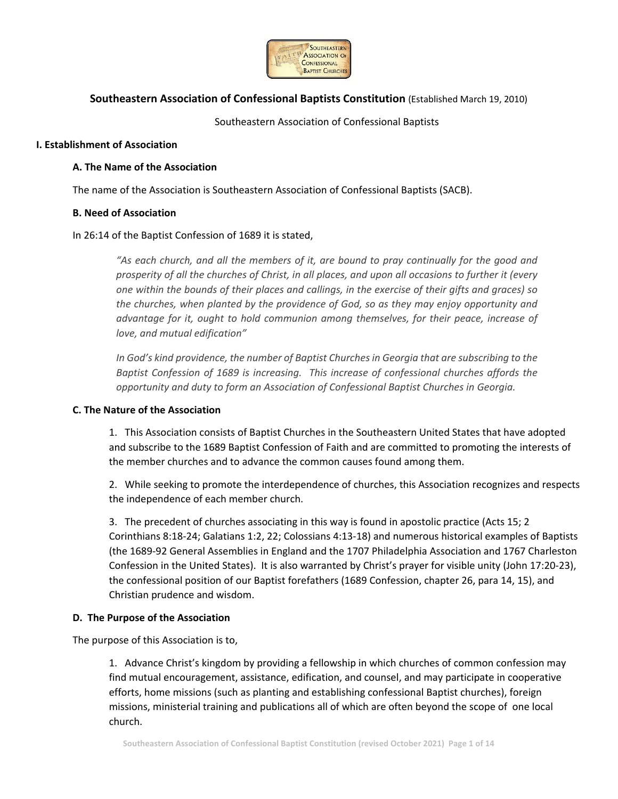

## **Southeastern Association of Confessional Baptists Constitution** (Established March 19, 2010)

Southeastern Association of Confessional Baptists

## **I. Establishment of Association**

## **A. The Name of the Association**

The name of the Association is Southeastern Association of Confessional Baptists (SACB).

## **B. Need of Association**

## In 26:14 of the Baptist Confession of 1689 it is stated,

*"As each church, and all the members of it, are bound to pray continually for the good and prosperity of all the churches of Christ, in all places, and upon all occasions to further it (every one within the bounds of their places and callings, in the exercise of their gifts and graces) so the churches, when planted by the providence of God, so as they may enjoy opportunity and advantage for it, ought to hold communion among themselves, for their peace, increase of love, and mutual edification"* 

*In God's kind providence, the number of Baptist Churches in Georgia that are subscribing to the Baptist Confession of 1689 is increasing. This increase of confessional churches affords the opportunity and duty to form an Association of Confessional Baptist Churches in Georgia.* 

### **C. The Nature of the Association**

1. This Association consists of Baptist Churches in the Southeastern United States that have adopted and subscribe to the 1689 Baptist Confession of Faith and are committed to promoting the interests of the member churches and to advance the common causes found among them.

2. While seeking to promote the interdependence of churches, this Association recognizes and respects the independence of each member church.

3. The precedent of churches associating in this way is found in apostolic practice (Acts 15; 2 Corinthians 8:18‐24; Galatians 1:2, 22; Colossians 4:13‐18) and numerous historical examples of Baptists (the 1689‐92 General Assemblies in England and the 1707 Philadelphia Association and 1767 Charleston Confession in the United States). It is also warranted by Christ's prayer for visible unity (John 17:20‐23), the confessional position of our Baptist forefathers (1689 Confession, chapter 26, para 14, 15), and Christian prudence and wisdom.

## **D. The Purpose of the Association**

The purpose of this Association is to,

1. Advance Christ's kingdom by providing a fellowship in which churches of common confession may find mutual encouragement, assistance, edification, and counsel, and may participate in cooperative efforts, home missions (such as planting and establishing confessional Baptist churches), foreign missions, ministerial training and publications all of which are often beyond the scope of one local church.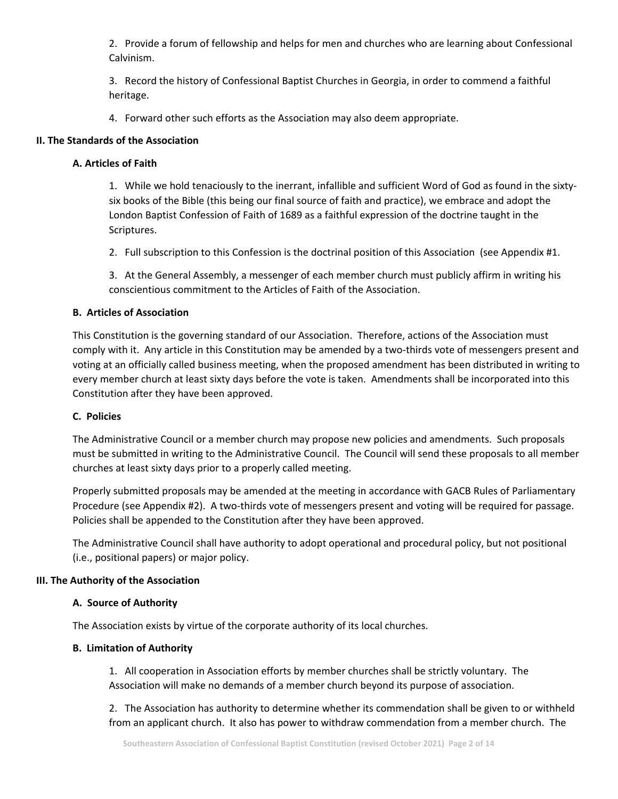2. Provide a forum of fellowship and helps for men and churches who are learning about Confessional Calvinism.

3. Record the history of Confessional Baptist Churches in Georgia, in order to commend a faithful heritage.

4. Forward other such efforts as the Association may also deem appropriate.

## **II. The Standards of the Association**

# **A. Articles of Faith**

1. While we hold tenaciously to the inerrant, infallible and sufficient Word of God as found in the sixty‐ six books of the Bible (this being our final source of faith and practice), we embrace and adopt the London Baptist Confession of Faith of 1689 as a faithful expression of the doctrine taught in the Scriptures.

2. Full subscription to this Confession is the doctrinal position of this Association (see Appendix #1.

3. At the General Assembly, a messenger of each member church must publicly affirm in writing his conscientious commitment to the Articles of Faith of the Association.

## **B. Articles of Association**

This Constitution is the governing standard of our Association. Therefore, actions of the Association must comply with it. Any article in this Constitution may be amended by a two-thirds vote of messengers present and voting at an officially called business meeting, when the proposed amendment has been distributed in writing to every member church at least sixty days before the vote is taken. Amendments shall be incorporated into this Constitution after they have been approved.

## **C. Policies**

The Administrative Council or a member church may propose new policies and amendments. Such proposals must be submitted in writing to the Administrative Council. The Council will send these proposals to all member churches at least sixty days prior to a properly called meeting.

Properly submitted proposals may be amended at the meeting in accordance with GACB Rules of Parliamentary Procedure (see Appendix #2). A two-thirds vote of messengers present and voting will be required for passage. Policies shall be appended to the Constitution after they have been approved.

The Administrative Council shall have authority to adopt operational and procedural policy, but not positional (i.e., positional papers) or major policy.

## **III. The Authority of the Association**

## **A. Source of Authority**

The Association exists by virtue of the corporate authority of its local churches.

## **B. Limitation of Authority**

1. All cooperation in Association efforts by member churches shall be strictly voluntary. The Association will make no demands of a member church beyond its purpose of association.

2. The Association has authority to determine whether its commendation shall be given to or withheld from an applicant church. It also has power to withdraw commendation from a member church. The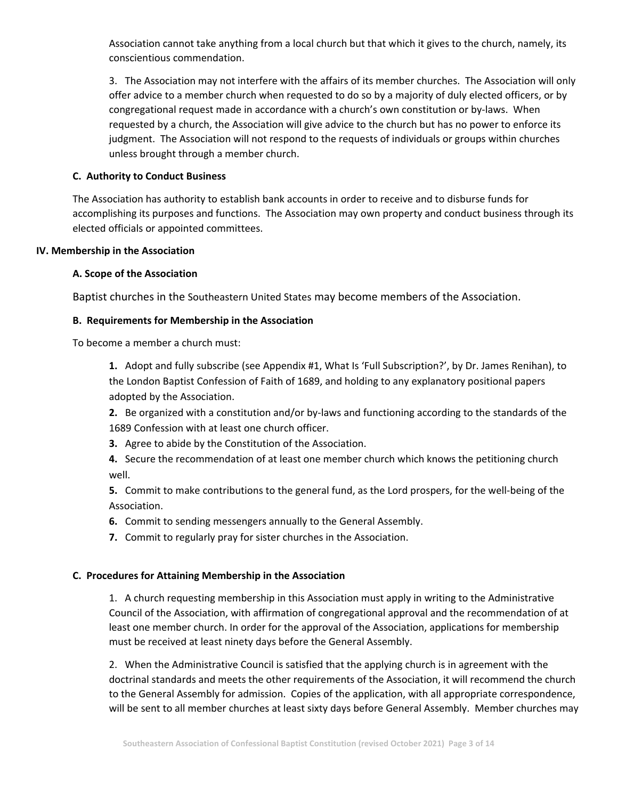Association cannot take anything from a local church but that which it gives to the church, namely, its conscientious commendation.

3. The Association may not interfere with the affairs of its member churches. The Association will only offer advice to a member church when requested to do so by a majority of duly elected officers, or by congregational request made in accordance with a church's own constitution or by-laws. When requested by a church, the Association will give advice to the church but has no power to enforce its judgment. The Association will not respond to the requests of individuals or groups within churches unless brought through a member church.

## **C. Authority to Conduct Business**

The Association has authority to establish bank accounts in order to receive and to disburse funds for accomplishing its purposes and functions. The Association may own property and conduct business through its elected officials or appointed committees.

## **IV. Membership in the Association**

## **A. Scope of the Association**

Baptist churches in the Southeastern United States may become members of the Association.

## **B. Requirements for Membership in the Association**

To become a member a church must:

**1.** Adopt and fully subscribe (see Appendix #1, What Is 'Full Subscription?', by Dr. James Renihan), to the London Baptist Confession of Faith of 1689, and holding to any explanatory positional papers adopted by the Association.

**2.** Be organized with a constitution and/or by-laws and functioning according to the standards of the 1689 Confession with at least one church officer.

**3.** Agree to abide by the Constitution of the Association.

**4.** Secure the recommendation of at least one member church which knows the petitioning church well.

**5.** Commit to make contributions to the general fund, as the Lord prospers, for the well‐being of the Association.

**6.** Commit to sending messengers annually to the General Assembly.

**7.** Commit to regularly pray for sister churches in the Association.

## **C. Procedures for Attaining Membership in the Association**

1. A church requesting membership in this Association must apply in writing to the Administrative Council of the Association, with affirmation of congregational approval and the recommendation of at least one member church. In order for the approval of the Association, applications for membership must be received at least ninety days before the General Assembly.

2. When the Administrative Council is satisfied that the applying church is in agreement with the doctrinal standards and meets the other requirements of the Association, it will recommend the church to the General Assembly for admission. Copies of the application, with all appropriate correspondence, will be sent to all member churches at least sixty days before General Assembly. Member churches may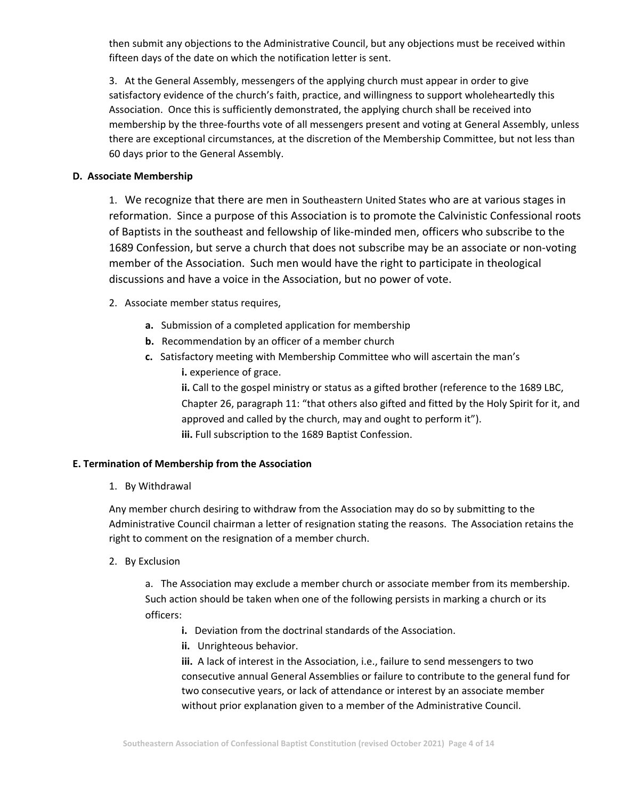then submit any objections to the Administrative Council, but any objections must be received within fifteen days of the date on which the notification letter is sent.

3. At the General Assembly, messengers of the applying church must appear in order to give satisfactory evidence of the church's faith, practice, and willingness to support wholeheartedly this Association. Once this is sufficiently demonstrated, the applying church shall be received into membership by the three‐fourths vote of all messengers present and voting at General Assembly, unless there are exceptional circumstances, at the discretion of the Membership Committee, but not less than 60 days prior to the General Assembly.

## **D. Associate Membership**

1. We recognize that there are men in Southeastern United States who are at various stages in reformation. Since a purpose of this Association is to promote the Calvinistic Confessional roots of Baptists in the southeast and fellowship of like‐minded men, officers who subscribe to the 1689 Confession, but serve a church that does not subscribe may be an associate or non‐voting member of the Association. Such men would have the right to participate in theological discussions and have a voice in the Association, but no power of vote.

- 2. Associate member status requires,
	- **a.** Submission of a completed application for membership
	- **b.** Recommendation by an officer of a member church
	- **c.** Satisfactory meeting with Membership Committee who will ascertain the man's **i.** experience of grace.

**ii.** Call to the gospel ministry or status as a gifted brother (reference to the 1689 LBC, Chapter 26, paragraph 11: "that others also gifted and fitted by the Holy Spirit for it, and approved and called by the church, may and ought to perform it"). **iii.** Full subscription to the 1689 Baptist Confession.

## **E. Termination of Membership from the Association**

1. By Withdrawal

Any member church desiring to withdraw from the Association may do so by submitting to the Administrative Council chairman a letter of resignation stating the reasons. The Association retains the right to comment on the resignation of a member church.

2. By Exclusion

a. The Association may exclude a member church or associate member from its membership. Such action should be taken when one of the following persists in marking a church or its officers:

- **i.** Deviation from the doctrinal standards of the Association.
- **ii.** Unrighteous behavior.

**iii.** A lack of interest in the Association, i.e., failure to send messengers to two consecutive annual General Assemblies or failure to contribute to the general fund for two consecutive years, or lack of attendance or interest by an associate member without prior explanation given to a member of the Administrative Council.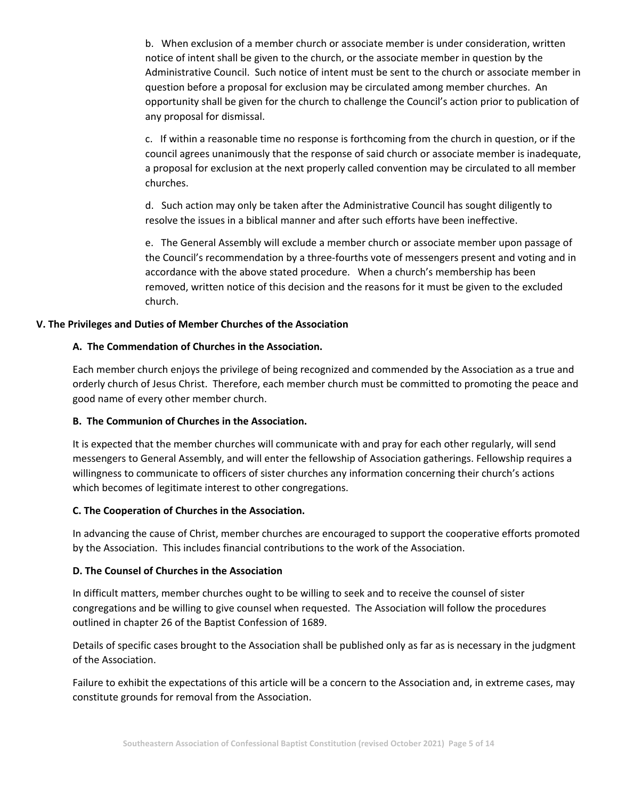b. When exclusion of a member church or associate member is under consideration, written notice of intent shall be given to the church, or the associate member in question by the Administrative Council. Such notice of intent must be sent to the church or associate member in question before a proposal for exclusion may be circulated among member churches. An opportunity shall be given for the church to challenge the Council's action prior to publication of any proposal for dismissal.

c. If within a reasonable time no response is forthcoming from the church in question, or if the council agrees unanimously that the response of said church or associate member is inadequate, a proposal for exclusion at the next properly called convention may be circulated to all member churches.

d. Such action may only be taken after the Administrative Council has sought diligently to resolve the issues in a biblical manner and after such efforts have been ineffective.

e. The General Assembly will exclude a member church or associate member upon passage of the Council's recommendation by a three‐fourths vote of messengers present and voting and in accordance with the above stated procedure. When a church's membership has been removed, written notice of this decision and the reasons for it must be given to the excluded church.

## **V. The Privileges and Duties of Member Churches of the Association**

## **A. The Commendation of Churches in the Association.**

Each member church enjoys the privilege of being recognized and commended by the Association as a true and orderly church of Jesus Christ. Therefore, each member church must be committed to promoting the peace and good name of every other member church.

## **B. The Communion of Churches in the Association.**

It is expected that the member churches will communicate with and pray for each other regularly, will send messengers to General Assembly, and will enter the fellowship of Association gatherings. Fellowship requires a willingness to communicate to officers of sister churches any information concerning their church's actions which becomes of legitimate interest to other congregations.

## **C. The Cooperation of Churches in the Association.**

In advancing the cause of Christ, member churches are encouraged to support the cooperative efforts promoted by the Association. This includes financial contributions to the work of the Association.

## **D. The Counsel of Churches in the Association**

In difficult matters, member churches ought to be willing to seek and to receive the counsel of sister congregations and be willing to give counsel when requested. The Association will follow the procedures outlined in chapter 26 of the Baptist Confession of 1689.

Details of specific cases brought to the Association shall be published only as far as is necessary in the judgment of the Association.

Failure to exhibit the expectations of this article will be a concern to the Association and, in extreme cases, may constitute grounds for removal from the Association.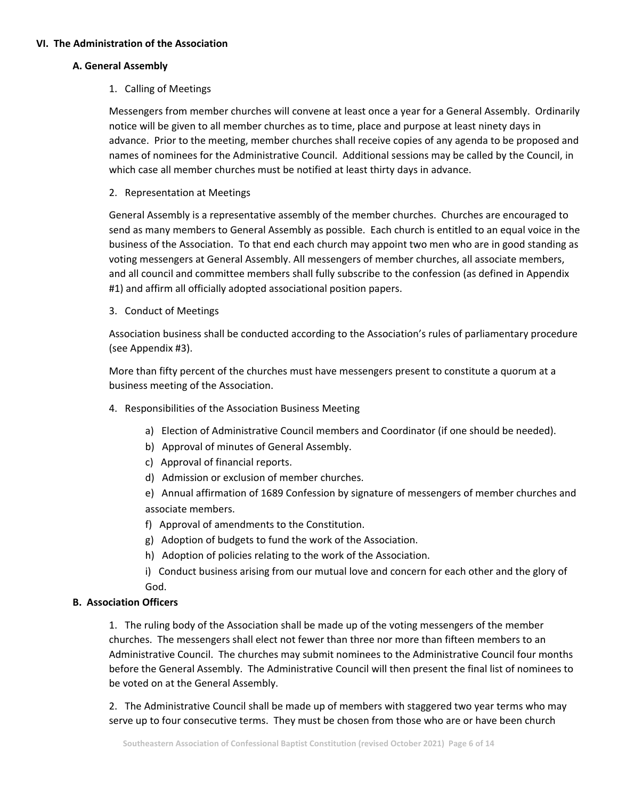## **VI. The Administration of the Association**

## **A. General Assembly**

1. Calling of Meetings

Messengers from member churches will convene at least once a year for a General Assembly. Ordinarily notice will be given to all member churches as to time, place and purpose at least ninety days in advance. Prior to the meeting, member churches shall receive copies of any agenda to be proposed and names of nominees for the Administrative Council. Additional sessions may be called by the Council, in which case all member churches must be notified at least thirty days in advance.

2. Representation at Meetings

General Assembly is a representative assembly of the member churches. Churches are encouraged to send as many members to General Assembly as possible. Each church is entitled to an equal voice in the business of the Association. To that end each church may appoint two men who are in good standing as voting messengers at General Assembly. All messengers of member churches, all associate members, and all council and committee members shall fully subscribe to the confession (as defined in Appendix #1) and affirm all officially adopted associational position papers.

3. Conduct of Meetings

Association business shall be conducted according to the Association's rules of parliamentary procedure (see Appendix #3).

More than fifty percent of the churches must have messengers present to constitute a quorum at a business meeting of the Association.

- 4. Responsibilities of the Association Business Meeting
	- a) Election of Administrative Council members and Coordinator (if one should be needed).
	- b) Approval of minutes of General Assembly.
	- c) Approval of financial reports.
	- d) Admission or exclusion of member churches.

e) Annual affirmation of 1689 Confession by signature of messengers of member churches and associate members.

- f) Approval of amendments to the Constitution.
- g) Adoption of budgets to fund the work of the Association.
- h) Adoption of policies relating to the work of the Association.
- i) Conduct business arising from our mutual love and concern for each other and the glory of God.

## **B. Association Officers**

1. The ruling body of the Association shall be made up of the voting messengers of the member churches. The messengers shall elect not fewer than three nor more than fifteen members to an Administrative Council. The churches may submit nominees to the Administrative Council four months before the General Assembly. The Administrative Council will then present the final list of nominees to be voted on at the General Assembly.

2. The Administrative Council shall be made up of members with staggered two year terms who may serve up to four consecutive terms. They must be chosen from those who are or have been church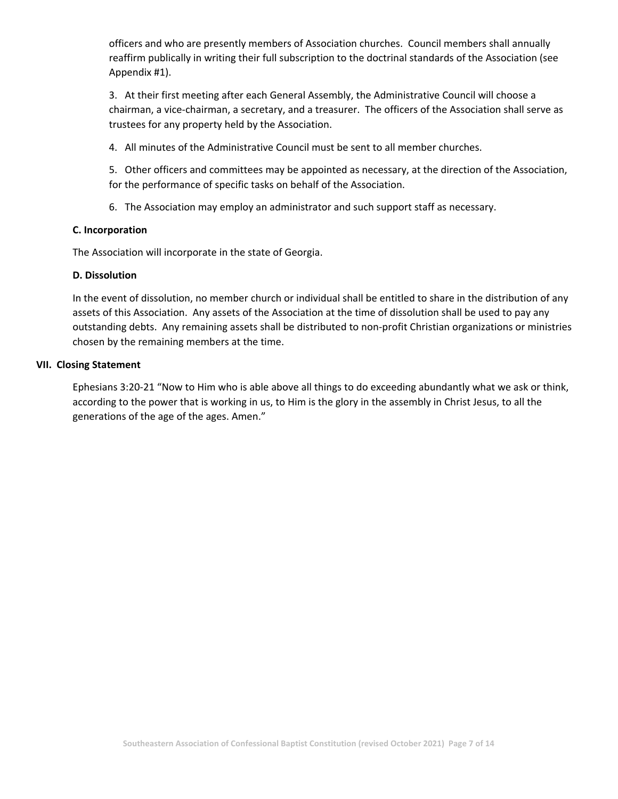officers and who are presently members of Association churches. Council members shall annually reaffirm publically in writing their full subscription to the doctrinal standards of the Association (see Appendix #1).

3. At their first meeting after each General Assembly, the Administrative Council will choose a chairman, a vice-chairman, a secretary, and a treasurer. The officers of the Association shall serve as trustees for any property held by the Association.

4. All minutes of the Administrative Council must be sent to all member churches.

5. Other officers and committees may be appointed as necessary, at the direction of the Association, for the performance of specific tasks on behalf of the Association.

6. The Association may employ an administrator and such support staff as necessary.

## **C. Incorporation**

The Association will incorporate in the state of Georgia.

## **D. Dissolution**

In the event of dissolution, no member church or individual shall be entitled to share in the distribution of any assets of this Association. Any assets of the Association at the time of dissolution shall be used to pay any outstanding debts. Any remaining assets shall be distributed to non‐profit Christian organizations or ministries chosen by the remaining members at the time.

### **VII. Closing Statement**

Ephesians 3:20-21 "Now to Him who is able above all things to do exceeding abundantly what we ask or think, according to the power that is working in us, to Him is the glory in the assembly in Christ Jesus, to all the generations of the age of the ages. Amen."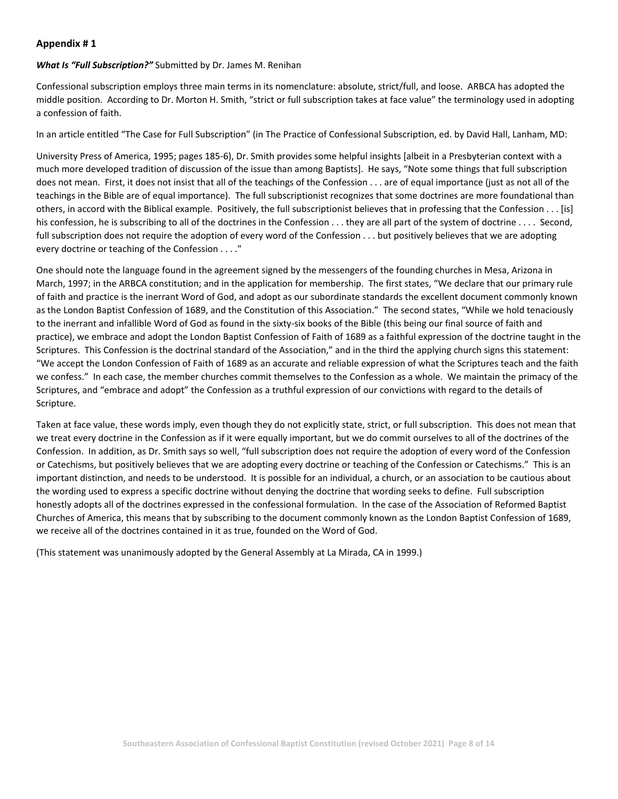### **Appendix # 1**

### *What Is "Full Subscription?"* Submitted by Dr. James M. Renihan

Confessional subscription employs three main terms in its nomenclature: absolute, strict/full, and loose. ARBCA has adopted the middle position. According to Dr. Morton H. Smith, "strict or full subscription takes at face value" the terminology used in adopting a confession of faith.

In an article entitled "The Case for Full Subscription" (in The Practice of Confessional Subscription, ed. by David Hall, Lanham, MD:

University Press of America, 1995; pages 185‐6), Dr. Smith provides some helpful insights [albeit in a Presbyterian context with a much more developed tradition of discussion of the issue than among Baptists]. He says, "Note some things that full subscription does not mean. First, it does not insist that all of the teachings of the Confession . . . are of equal importance (just as not all of the teachings in the Bible are of equal importance). The full subscriptionist recognizes that some doctrines are more foundational than others, in accord with the Biblical example. Positively, the full subscriptionist believes that in professing that the Confession . . . [is] his confession, he is subscribing to all of the doctrines in the Confession . . . they are all part of the system of doctrine . . . . Second, full subscription does not require the adoption of every word of the Confession . . . but positively believes that we are adopting every doctrine or teaching of the Confession . . . ."

One should note the language found in the agreement signed by the messengers of the founding churches in Mesa, Arizona in March, 1997; in the ARBCA constitution; and in the application for membership. The first states, "We declare that our primary rule of faith and practice is the inerrant Word of God, and adopt as our subordinate standards the excellent document commonly known as the London Baptist Confession of 1689, and the Constitution of this Association." The second states, "While we hold tenaciously to the inerrant and infallible Word of God as found in the sixty‐six books of the Bible (this being our final source of faith and practice), we embrace and adopt the London Baptist Confession of Faith of 1689 as a faithful expression of the doctrine taught in the Scriptures. This Confession is the doctrinal standard of the Association," and in the third the applying church signs this statement: "We accept the London Confession of Faith of 1689 as an accurate and reliable expression of what the Scriptures teach and the faith we confess." In each case, the member churches commit themselves to the Confession as a whole. We maintain the primacy of the Scriptures, and "embrace and adopt" the Confession as a truthful expression of our convictions with regard to the details of Scripture.

Taken at face value, these words imply, even though they do not explicitly state, strict, or full subscription. This does not mean that we treat every doctrine in the Confession as if it were equally important, but we do commit ourselves to all of the doctrines of the Confession. In addition, as Dr. Smith says so well, "full subscription does not require the adoption of every word of the Confession or Catechisms, but positively believes that we are adopting every doctrine or teaching of the Confession or Catechisms." This is an important distinction, and needs to be understood. It is possible for an individual, a church, or an association to be cautious about the wording used to express a specific doctrine without denying the doctrine that wording seeks to define. Full subscription honestly adopts all of the doctrines expressed in the confessional formulation. In the case of the Association of Reformed Baptist Churches of America, this means that by subscribing to the document commonly known as the London Baptist Confession of 1689, we receive all of the doctrines contained in it as true, founded on the Word of God.

(This statement was unanimously adopted by the General Assembly at La Mirada, CA in 1999.)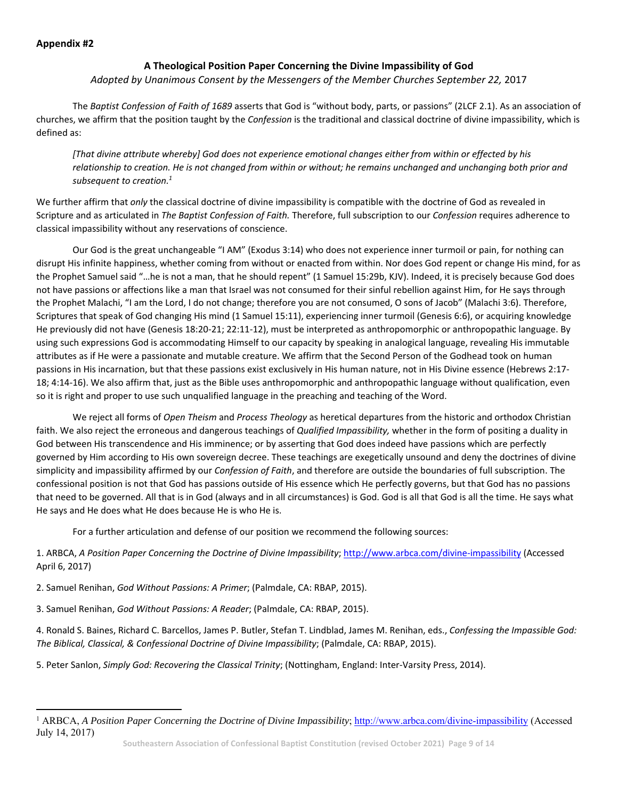## **A Theological Position Paper Concerning the Divine Impassibility of God**

## *Adopted by Unanimous Consent by the Messengers of the Member Churches September 22,* 2017

The *Baptist Confession of Faith of 1689* asserts that God is "without body, parts, or passions" (2LCF 2.1). As an association of churches, we affirm that the position taught by the *Confession* is the traditional and classical doctrine of divine impassibility, which is defined as:

*[That divine attribute whereby] God does not experience emotional changes either from within or effected by his relationship to creation. He is not changed from within or without; he remains unchanged and unchanging both prior and subsequent to creation.1*

We further affirm that *only* the classical doctrine of divine impassibility is compatible with the doctrine of God as revealed in Scripture and as articulated in *The Baptist Confession of Faith.* Therefore, full subscription to our *Confession* requires adherence to classical impassibility without any reservations of conscience.

 Our God is the great unchangeable "I AM" (Exodus 3:14) who does not experience inner turmoil or pain, for nothing can disrupt His infinite happiness, whether coming from without or enacted from within. Nor does God repent or change His mind, for as the Prophet Samuel said "…he is not a man, that he should repent" (1 Samuel 15:29b, KJV). Indeed, it is precisely because God does not have passions or affections like a man that Israel was not consumed for their sinful rebellion against Him, for He says through the Prophet Malachi, "I am the Lord, I do not change; therefore you are not consumed, O sons of Jacob" (Malachi 3:6). Therefore, Scriptures that speak of God changing His mind (1 Samuel 15:11), experiencing inner turmoil (Genesis 6:6), or acquiring knowledge He previously did not have (Genesis 18:20‐21; 22:11‐12), must be interpreted as anthropomorphic or anthropopathic language. By using such expressions God is accommodating Himself to our capacity by speaking in analogical language, revealing His immutable attributes as if He were a passionate and mutable creature. We affirm that the Second Person of the Godhead took on human passions in His incarnation, but that these passions exist exclusively in His human nature, not in His Divine essence (Hebrews 2:17-18; 4:14‐16). We also affirm that, just as the Bible uses anthropomorphic and anthropopathic language without qualification, even so it is right and proper to use such unqualified language in the preaching and teaching of the Word.

 We reject all forms of *Open Theism* and *Process Theology* as heretical departures from the historic and orthodox Christian faith. We also reject the erroneous and dangerous teachings of *Qualified Impassibility,* whether in the form of positing a duality in God between His transcendence and His imminence; or by asserting that God does indeed have passions which are perfectly governed by Him according to His own sovereign decree. These teachings are exegetically unsound and deny the doctrines of divine simplicity and impassibility affirmed by our *Confession of Faith*, and therefore are outside the boundaries of full subscription. The confessional position is not that God has passions outside of His essence which He perfectly governs, but that God has no passions that need to be governed. All that is in God (always and in all circumstances) is God. God is all that God is all the time. He says what He says and He does what He does because He is who He is.

For a further articulation and defense of our position we recommend the following sources:

1. ARBCA, *A Position Paper Concerning the Doctrine of Divine Impassibility*; http://www.arbca.com/divine‐impassibility (Accessed April 6, 2017)

2. Samuel Renihan, *God Without Passions: A Primer*; (Palmdale, CA: RBAP, 2015).

3. Samuel Renihan, *God Without Passions: A Reader*; (Palmdale, CA: RBAP, 2015).

4. Ronald S. Baines, Richard C. Barcellos, James P. Butler, Stefan T. Lindblad, James M. Renihan, eds., *Confessing the Impassible God: The Biblical, Classical, & Confessional Doctrine of Divine Impassibility*; (Palmdale, CA: RBAP, 2015).

5. Peter Sanlon, *Simply God: Recovering the Classical Trinity*; (Nottingham, England: Inter‐Varsity Press, 2014).

<sup>&</sup>lt;sup>1</sup> ARBCA, *A Position Paper Concerning the Doctrine of Divine Impassibility*; http://www.arbca.com/divine-impassibility (Accessed July 14, 2017)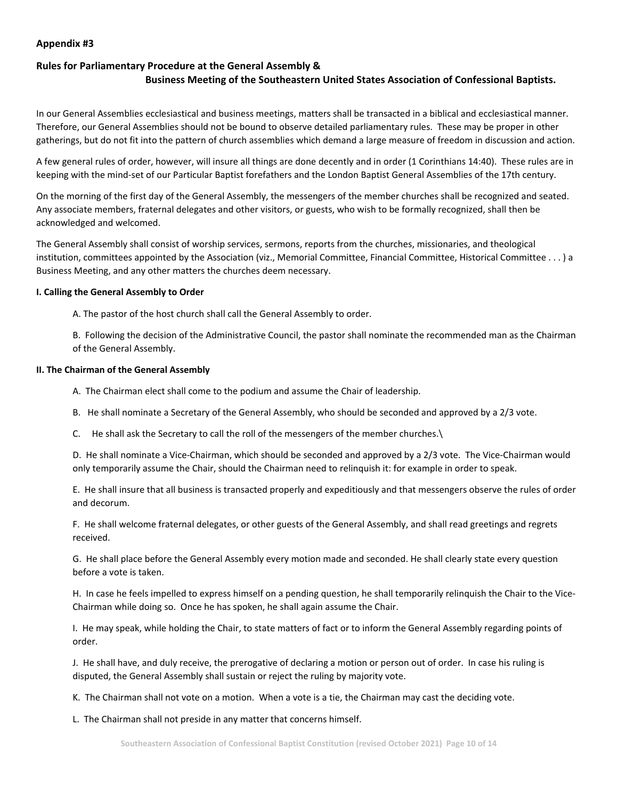## **Appendix #3**

# **Rules for Parliamentary Procedure at the General Assembly & Business Meeting of the Southeastern United States Association of Confessional Baptists.**

In our General Assemblies ecclesiastical and business meetings, matters shall be transacted in a biblical and ecclesiastical manner. Therefore, our General Assemblies should not be bound to observe detailed parliamentary rules. These may be proper in other gatherings, but do not fit into the pattern of church assemblies which demand a large measure of freedom in discussion and action.

A few general rules of order, however, will insure all things are done decently and in order (1 Corinthians 14:40). These rules are in keeping with the mind‐set of our Particular Baptist forefathers and the London Baptist General Assemblies of the 17th century.

On the morning of the first day of the General Assembly, the messengers of the member churches shall be recognized and seated. Any associate members, fraternal delegates and other visitors, or guests, who wish to be formally recognized, shall then be acknowledged and welcomed.

The General Assembly shall consist of worship services, sermons, reports from the churches, missionaries, and theological institution, committees appointed by the Association (viz., Memorial Committee, Financial Committee, Historical Committee . . . ) a Business Meeting, and any other matters the churches deem necessary.

### **I. Calling the General Assembly to Order**

A. The pastor of the host church shall call the General Assembly to order.

B. Following the decision of the Administrative Council, the pastor shall nominate the recommended man as the Chairman of the General Assembly.

### **II. The Chairman of the General Assembly**

- A. The Chairman elect shall come to the podium and assume the Chair of leadership.
- B. He shall nominate a Secretary of the General Assembly, who should be seconded and approved by a 2/3 vote.
- C. He shall ask the Secretary to call the roll of the messengers of the member churches.

D. He shall nominate a Vice-Chairman, which should be seconded and approved by a 2/3 vote. The Vice-Chairman would only temporarily assume the Chair, should the Chairman need to relinquish it: for example in order to speak.

E. He shall insure that all business is transacted properly and expeditiously and that messengers observe the rules of order and decorum.

F. He shall welcome fraternal delegates, or other guests of the General Assembly, and shall read greetings and regrets received.

G. He shall place before the General Assembly every motion made and seconded. He shall clearly state every question before a vote is taken.

H. In case he feels impelled to express himself on a pending question, he shall temporarily relinquish the Chair to the Vice-Chairman while doing so. Once he has spoken, he shall again assume the Chair.

I. He may speak, while holding the Chair, to state matters of fact or to inform the General Assembly regarding points of order.

J. He shall have, and duly receive, the prerogative of declaring a motion or person out of order. In case his ruling is disputed, the General Assembly shall sustain or reject the ruling by majority vote.

K. The Chairman shall not vote on a motion. When a vote is a tie, the Chairman may cast the deciding vote.

L. The Chairman shall not preside in any matter that concerns himself.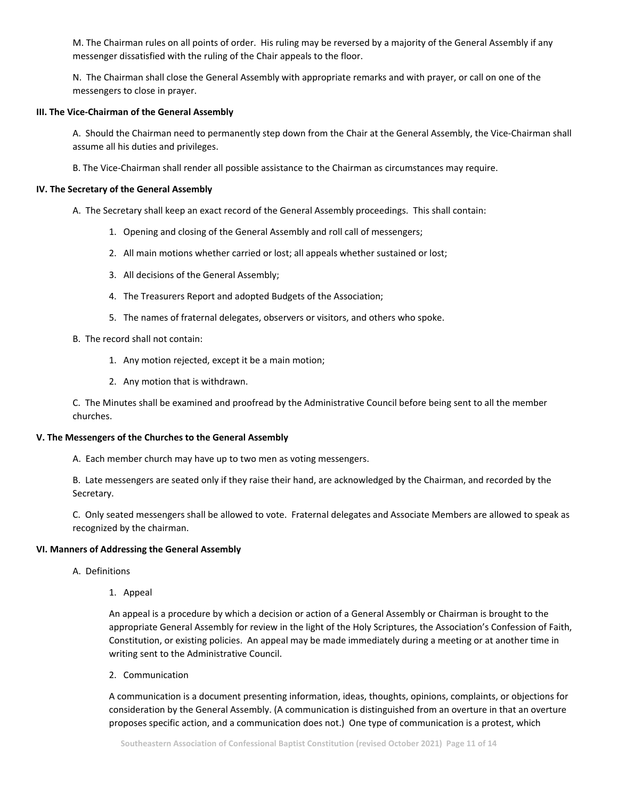M. The Chairman rules on all points of order. His ruling may be reversed by a majority of the General Assembly if any messenger dissatisfied with the ruling of the Chair appeals to the floor.

N. The Chairman shall close the General Assembly with appropriate remarks and with prayer, or call on one of the messengers to close in prayer.

#### **III. The Vice‐Chairman of the General Assembly**

A. Should the Chairman need to permanently step down from the Chair at the General Assembly, the Vice‐Chairman shall assume all his duties and privileges.

B. The Vice‐Chairman shall render all possible assistance to the Chairman as circumstances may require.

#### **IV. The Secretary of the General Assembly**

- A. The Secretary shall keep an exact record of the General Assembly proceedings. This shall contain:
	- 1. Opening and closing of the General Assembly and roll call of messengers;
	- 2. All main motions whether carried or lost; all appeals whether sustained or lost;
	- 3. All decisions of the General Assembly;
	- 4. The Treasurers Report and adopted Budgets of the Association;
	- 5. The names of fraternal delegates, observers or visitors, and others who spoke.
- B. The record shall not contain:
	- 1. Any motion rejected, except it be a main motion;
	- 2. Any motion that is withdrawn.

C. The Minutes shall be examined and proofread by the Administrative Council before being sent to all the member churches.

#### **V. The Messengers of the Churches to the General Assembly**

A. Each member church may have up to two men as voting messengers.

B. Late messengers are seated only if they raise their hand, are acknowledged by the Chairman, and recorded by the Secretary.

C. Only seated messengers shall be allowed to vote. Fraternal delegates and Associate Members are allowed to speak as recognized by the chairman.

#### **VI. Manners of Addressing the General Assembly**

- A. Definitions
	- 1. Appeal

An appeal is a procedure by which a decision or action of a General Assembly or Chairman is brought to the appropriate General Assembly for review in the light of the Holy Scriptures, the Association's Confession of Faith, Constitution, or existing policies. An appeal may be made immediately during a meeting or at another time in writing sent to the Administrative Council.

2. Communication

A communication is a document presenting information, ideas, thoughts, opinions, complaints, or objections for consideration by the General Assembly. (A communication is distinguished from an overture in that an overture proposes specific action, and a communication does not.) One type of communication is a protest, which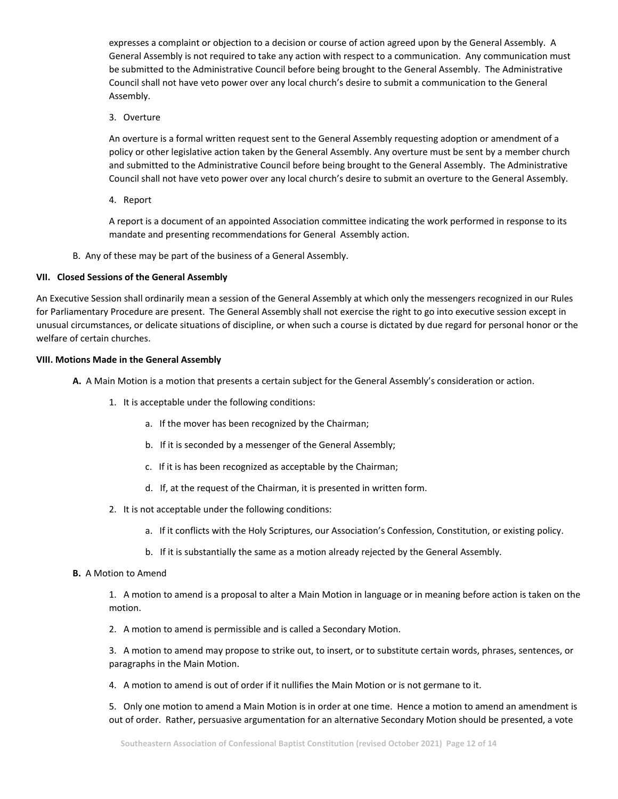expresses a complaint or objection to a decision or course of action agreed upon by the General Assembly. A General Assembly is not required to take any action with respect to a communication. Any communication must be submitted to the Administrative Council before being brought to the General Assembly. The Administrative Council shall not have veto power over any local church's desire to submit a communication to the General Assembly.

3. Overture

An overture is a formal written request sent to the General Assembly requesting adoption or amendment of a policy or other legislative action taken by the General Assembly. Any overture must be sent by a member church and submitted to the Administrative Council before being brought to the General Assembly. The Administrative Council shall not have veto power over any local church's desire to submit an overture to the General Assembly.

4. Report

A report is a document of an appointed Association committee indicating the work performed in response to its mandate and presenting recommendations for General Assembly action.

B. Any of these may be part of the business of a General Assembly.

#### **VII. Closed Sessions of the General Assembly**

An Executive Session shall ordinarily mean a session of the General Assembly at which only the messengers recognized in our Rules for Parliamentary Procedure are present. The General Assembly shall not exercise the right to go into executive session except in unusual circumstances, or delicate situations of discipline, or when such a course is dictated by due regard for personal honor or the welfare of certain churches.

#### **VIII. Motions Made in the General Assembly**

- **A.** A Main Motion is a motion that presents a certain subject for the General Assembly's consideration or action.
	- 1. It is acceptable under the following conditions:
		- a. If the mover has been recognized by the Chairman;
		- b. If it is seconded by a messenger of the General Assembly;
		- c. If it is has been recognized as acceptable by the Chairman;
		- d. If, at the request of the Chairman, it is presented in written form.
	- 2. It is not acceptable under the following conditions:
		- a. If it conflicts with the Holy Scriptures, our Association's Confession, Constitution, or existing policy.
		- b. If it is substantially the same as a motion already rejected by the General Assembly.

#### **B.** A Motion to Amend

1. A motion to amend is a proposal to alter a Main Motion in language or in meaning before action is taken on the motion.

2. A motion to amend is permissible and is called a Secondary Motion.

3. A motion to amend may propose to strike out, to insert, or to substitute certain words, phrases, sentences, or paragraphs in the Main Motion.

4. A motion to amend is out of order if it nullifies the Main Motion or is not germane to it.

5. Only one motion to amend a Main Motion is in order at one time. Hence a motion to amend an amendment is out of order. Rather, persuasive argumentation for an alternative Secondary Motion should be presented, a vote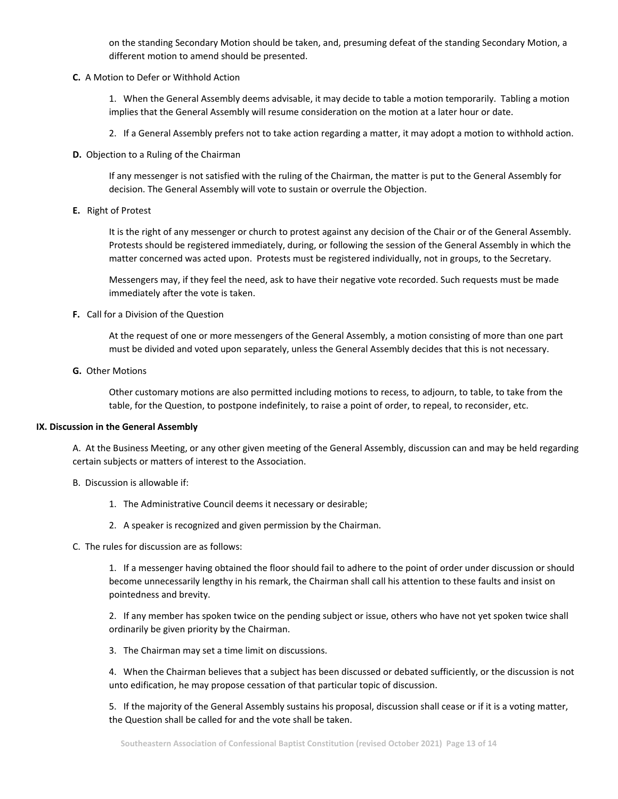on the standing Secondary Motion should be taken, and, presuming defeat of the standing Secondary Motion, a different motion to amend should be presented.

**C.** A Motion to Defer or Withhold Action

1. When the General Assembly deems advisable, it may decide to table a motion temporarily. Tabling a motion implies that the General Assembly will resume consideration on the motion at a later hour or date.

- 2. If a General Assembly prefers not to take action regarding a matter, it may adopt a motion to withhold action.
- **D.** Objection to a Ruling of the Chairman

If any messenger is not satisfied with the ruling of the Chairman, the matter is put to the General Assembly for decision. The General Assembly will vote to sustain or overrule the Objection.

**E.** Right of Protest

It is the right of any messenger or church to protest against any decision of the Chair or of the General Assembly. Protests should be registered immediately, during, or following the session of the General Assembly in which the matter concerned was acted upon. Protests must be registered individually, not in groups, to the Secretary.

Messengers may, if they feel the need, ask to have their negative vote recorded. Such requests must be made immediately after the vote is taken.

**F.** Call for a Division of the Question

At the request of one or more messengers of the General Assembly, a motion consisting of more than one part must be divided and voted upon separately, unless the General Assembly decides that this is not necessary.

**G.** Other Motions

Other customary motions are also permitted including motions to recess, to adjourn, to table, to take from the table, for the Question, to postpone indefinitely, to raise a point of order, to repeal, to reconsider, etc.

### **IX. Discussion in the General Assembly**

A. At the Business Meeting, or any other given meeting of the General Assembly, discussion can and may be held regarding certain subjects or matters of interest to the Association.

- B. Discussion is allowable if:
	- 1. The Administrative Council deems it necessary or desirable;
	- 2. A speaker is recognized and given permission by the Chairman.
- C. The rules for discussion are as follows:

1. If a messenger having obtained the floor should fail to adhere to the point of order under discussion or should become unnecessarily lengthy in his remark, the Chairman shall call his attention to these faults and insist on pointedness and brevity.

2. If any member has spoken twice on the pending subject or issue, others who have not yet spoken twice shall ordinarily be given priority by the Chairman.

3. The Chairman may set a time limit on discussions.

4. When the Chairman believes that a subject has been discussed or debated sufficiently, or the discussion is not unto edification, he may propose cessation of that particular topic of discussion.

5. If the majority of the General Assembly sustains his proposal, discussion shall cease or if it is a voting matter, the Question shall be called for and the vote shall be taken.